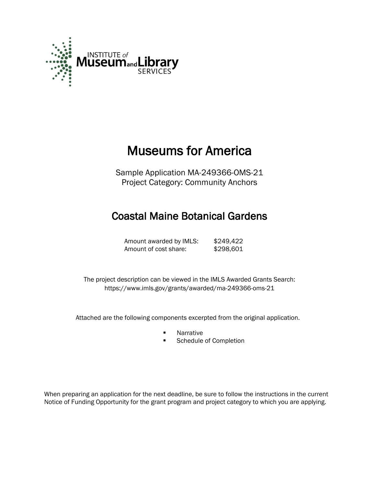

# Museums for America

Sample Application MA-249366-OMS-21 Project Category: Community Anchors

## Coastal Maine Botanical Gardens

Amount awarded by IMLS: \$249,422 Amount of cost share: \$298,601

 The project description can be viewed in the IMLS Awarded Grants Search: <https://www.imls.gov/grants/awarded/ma-249366-oms-21>

Attached are the following components excerpted from the original application.

- **Narrative**
- **Schedule of Completion**

When preparing an application for the next deadline, be sure to follow the instructions in the current Notice of Funding Opportunity for the grant program and project category to which you are applying.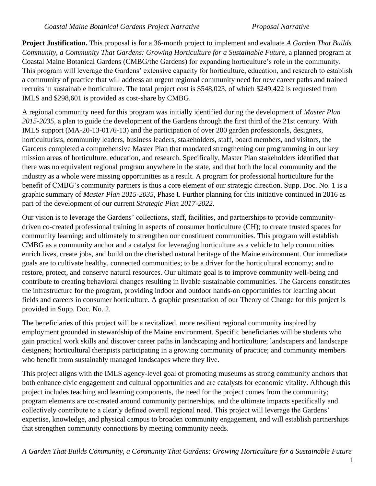**Project Justification.** This proposal is for a 36-month project to implement and evaluate *A Garden That Builds Community, a Community That Gardens: Growing Horticulture for a Sustainable Future*, a planned program at Coastal Maine Botanical Gardens (CMBG/the Gardens) for expanding horticulture's role in the community. This program will leverage the Gardens' extensive capacity for horticulture, education, and research to establish a community of practice that will address an urgent regional community need for new career paths and trained recruits in sustainable horticulture. The total project cost is \$548,023, of which \$249,422 is requested from IMLS and \$298,601 is provided as cost-share by CMBG.

A regional community need for this program was initially identified during the development of *Master Plan 2015-2035*, a plan to guide the development of the Gardens through the first third of the 21st century. With IMLS support (MA-20-13-0176-13) and the participation of over 200 garden professionals, designers, horticulturists, community leaders, business leaders, stakeholders, staff, board members, and visitors, the Gardens completed a comprehensive Master Plan that mandated strengthening our programming in our key mission areas of horticulture, education, and research. Specifically, Master Plan stakeholders identified that there was no equivalent regional program anywhere in the state, and that both the local community and the industry as a whole were missing opportunities as a result. A program for professional horticulture for the benefit of CMBG's community partners is thus a core element of our strategic direction. Supp. Doc. No. 1 is a graphic summary of *Master Plan 2015-2035*, Phase I. Further planning for this initiative continued in 2016 as part of the development of our current *Strategic Plan 2017-2022*.

Our vision is to leverage the Gardens' collections, staff, facilities, and partnerships to provide communitydriven co-created professional training in aspects of consumer horticulture (CH); to create trusted spaces for community learning; and ultimately to strengthen our constituent communities. This program will establish CMBG as a community anchor and a catalyst for leveraging horticulture as a vehicle to help communities enrich lives, create jobs, and build on the cherished natural heritage of the Maine environment. Our immediate goals are to cultivate healthy, connected communities; to be a driver for the horticultural economy; and to restore, protect, and conserve natural resources. Our ultimate goal is to improve community well-being and contribute to creating behavioral changes resulting in livable sustainable communities. The Gardens constitutes the infrastructure for the program, providing indoor and outdoor hands-on opportunities for learning about fields and careers in consumer horticulture. A graphic presentation of our Theory of Change for this project is provided in Supp. Doc. No. 2.

The beneficiaries of this project will be a revitalized, more resilient regional community inspired by employment grounded in stewardship of the Maine environment. Specific beneficiaries will be students who gain practical work skills and discover career paths in landscaping and horticulture; landscapers and landscape designers; horticultural therapists participating in a growing community of practice; and community members who benefit from sustainably managed landscapes where they live.

This project aligns with the IMLS agency-level goal of promoting museums as strong community anchors that both enhance civic engagement and cultural opportunities and are catalysts for economic vitality. Although this project includes teaching and learning components, the need for the project comes from the community; program elements are co-created around community partnerships, and the ultimate impacts specifically and collectively contribute to a clearly defined overall regional need. This project will leverage the Gardens' expertise, knowledge, and physical campus to broaden community engagement, and will establish partnerships that strengthen community connections by meeting community needs.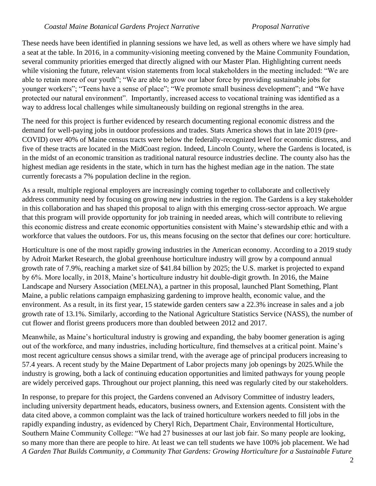These needs have been identified in planning sessions we have led, as well as others where we have simply had a seat at the table. In 2016, in a community-visioning meeting convened by the Maine Community Foundation, several community priorities emerged that directly aligned with our Master Plan. Highlighting current needs while visioning the future, relevant vision statements from local stakeholders in the meeting included: "We are able to retain more of our youth"; "We are able to grow our labor force by providing sustainable jobs for younger workers"; "Teens have a sense of place"; "We promote small business development"; and "We have protected our natural environment". Importantly, increased access to vocational training was identified as a way to address local challenges while simultaneously building on regional strengths in the area.

The need for this project is further evidenced by research documenting regional economic distress and the demand for well-paying jobs in outdoor professions and trades. Stats America shows that in late 2019 (pre-COVID) over 40% of Maine census tracts were below the federally-recognized level for economic distress, and five of these tracts are located in the MidCoast region. Indeed, Lincoln County, where the Gardens is located, is in the midst of an economic transition as traditional natural resource industries decline. The county also has the highest median age residents in the state, which in turn has the highest median age in the nation. The state currently forecasts a 7% population decline in the region.

As a result, multiple regional employers are increasingly coming together to collaborate and collectively address community need by focusing on growing new industries in the region. The Gardens is a key stakeholder in this collaboration and has shaped this proposal to align with this emerging cross-sector approach. We argue that this program will provide opportunity for job training in needed areas, which will contribute to relieving this economic distress and create economic opportunities consistent with Maine's stewardship ethic and with a workforce that values the outdoors. For us, this means focusing on the sector that defines our core: horticulture.

Horticulture is one of the most rapidly growing industries in the American economy. According to a 2019 study by Adroit Market Research, the global greenhouse horticulture industry will grow by a compound annual growth rate of 7.9%, reaching a market size of \$41.84 billion by 2025; the U.S. market is projected to expand by 6%. More locally, in 2018, Maine's horticulture industry hit double-digit growth. In 2016, the Maine Landscape and Nursery Association (MELNA), a partner in this proposal, launched Plant Something, Plant Maine, a public relations campaign emphasizing gardening to improve health, economic value, and the environment. As a result, in its first year, 15 statewide garden centers saw a 22.3% increase in sales and a job growth rate of 13.1%. Similarly, according to the National Agriculture Statistics Service (NASS), the number of cut flower and florist greens producers more than doubled between 2012 and 2017.

Meanwhile, as Maine's horticultural industry is growing and expanding, the baby boomer generation is aging out of the workforce, and many industries, including horticulture, find themselves at a critical point. Maine's most recent agriculture census shows a similar trend, with the average age of principal producers increasing to 57.4 years. A recent study by the Maine Department of Labor projects many job openings by 2025.While the industry is growing, both a lack of continuing education opportunities and limited pathways for young people are widely perceived gaps. Throughout our project planning, this need was regularly cited by our stakeholders.

*A Garden That Builds Community, a Community That Gardens: Growing Horticulture for a Sustainable Future* In response, to prepare for this project, the Gardens convened an Advisory Committee of industry leaders, including university department heads, educators, business owners, and Extension agents. Consistent with the data cited above, a common complaint was the lack of trained horticulture workers needed to fill jobs in the rapidly expanding industry, as evidenced by Cheryl Rich, Department Chair, Environmental Horticulture, Southern Maine Community College: "We had 27 businesses at our last job fair. So many people are looking, so many more than there are people to hire. At least we can tell students we have 100% job placement. We had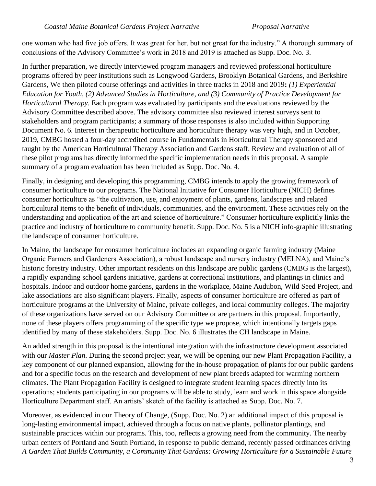one woman who had five job offers. It was great for her, but not great for the industry." A thorough summary of conclusions of the Advisory Committee's work in 2018 and 2019 is attached as Supp. Doc. No. 3.

In further preparation, we directly interviewed program managers and reviewed professional horticulture programs offered by peer institutions such as Longwood Gardens, Brooklyn Botanical Gardens, and Berkshire Gardens, We then piloted course offerings and activities in three tracks in 2018 and 2019**:** *(1) Experiential Education for Youth, (2) Advanced Studies in Horticulture, and (3) Community of Practice Development for Horticultural Therapy.* Each program was evaluated by participants and the evaluations reviewed by the Advisory Committee described above. The advisory committee also reviewed interest surveys sent to stakeholders and program participants; a summary of those responses is also included within Supporting Document No. 6. Interest in therapeutic horticulture and horticulture therapy was very high, and in October, 2019, CMBG hosted a four-day accredited course in Fundamentals in Horticultural Therapy sponsored and taught by the American Horticultural Therapy Association and Gardens staff. Review and evaluation of all of these pilot programs has directly informed the specific implementation needs in this proposal. A sample summary of a program evaluation has been included as Supp. Doc. No. 4.

Finally, in designing and developing this programming, CMBG intends to apply the growing framework of consumer horticulture to our programs. The National Initiative for Consumer Horticulture (NICH) defines consumer horticulture as "the cultivation, use, and enjoyment of plants, gardens, landscapes and related horticultural items to the benefit of individuals, communities, and the environment. These activities rely on the understanding and application of the art and science of horticulture." Consumer horticulture explicitly links the practice and industry of horticulture to community benefit. Supp. Doc. No. 5 is a NICH info-graphic illustrating the landscape of consumer horticulture.

In Maine, the landscape for consumer horticulture includes an expanding organic farming industry (Maine Organic Farmers and Gardeners Association), a robust landscape and nursery industry (MELNA), and Maine's historic forestry industry. Other important residents on this landscape are public gardens (CMBG is the largest), a rapidly expanding school gardens initiative, gardens at correctional institutions, and plantings in clinics and hospitals. Indoor and outdoor home gardens, gardens in the workplace, Maine Audubon, Wild Seed Project, and lake associations are also significant players. Finally, aspects of consumer horticulture are offered as part of horticulture programs at the University of Maine, private colleges, and local community colleges. The majority of these organizations have served on our Advisory Committee or are partners in this proposal. Importantly, none of these players offers programming of the specific type we propose, which intentionally targets gaps identified by many of these stakeholders. Supp. Doc. No. 6 illustrates the CH landscape in Maine.

An added strength in this proposal is the intentional integration with the infrastructure development associated with our *Master Plan*. During the second project year, we will be opening our new Plant Propagation Facility, a key component of our planned expansion, allowing for the in-house propagation of plants for our public gardens and for a specific focus on the research and development of new plant breeds adapted for warming northern climates. The Plant Propagation Facility is designed to integrate student learning spaces directly into its operations; students participating in our programs will be able to study, learn and work in this space alongside Horticulture Department staff. An artists' sketch of the facility is attached as Supp. Doc. No. 7.

*A Garden That Builds Community, a Community That Gardens: Growing Horticulture for a Sustainable Future* Moreover, as evidenced in our Theory of Change, (Supp. Doc. No. 2) an additional impact of this proposal is long-lasting environmental impact, achieved through a focus on native plants, pollinator plantings, and sustainable practices within our programs. This, too, reflects a growing need from the community. The nearby urban centers of Portland and South Portland, in response to public demand, recently passed ordinances driving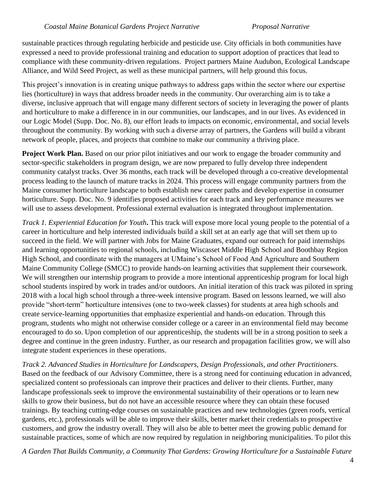sustainable practices through regulating herbicide and pesticide use. City officials in both communities have expressed a need to provide professional training and education to support adoption of practices that lead to compliance with these community-driven regulations. Project partners Maine Audubon, Ecological Landscape Alliance, and Wild Seed Project, as well as these municipal partners, will help ground this focus.

This project's innovation is in creating unique pathways to address gaps within the sector where our expertise lies (horticulture) in ways that address broader needs in the community. Our overarching aim is to take a diverse, inclusive approach that will engage many different sectors of society in leveraging the power of plants and horticulture to make a difference in in our communities, our landscapes, and in our lives. As evidenced in our Logic Model (Supp. Doc. No. 8), our effort leads to impacts on economic, environmental, and social levels throughout the community. By working with such a diverse array of partners, the Gardens will build a vibrant network of people, places, and projects that combine to make our community a thriving place.

**Project Work Plan.** Based on our prior pilot initiatives and our work to engage the broader community and sector-specific stakeholders in program design, we are now prepared to fully develop three independent community catalyst tracks. Over 36 months, each track will be developed through a co-creative developmental process leading to the launch of mature tracks in 2024. This process will engage community partners from the Maine consumer horticulture landscape to both establish new career paths and develop expertise in consumer horticulture. Supp. Doc. No. 9 identifies proposed activities for each track and key performance measures we will use to assess development. Professional external evaluation is integrated throughout implementation.

*Track 1. Experiential Education for Youth***.** This track will expose more local young people to the potential of a career in horticulture and help interested individuals build a skill set at an early age that will set them up to succeed in the field. We will partner with Jobs for Maine Graduates, expand our outreach for paid internships and learning opportunities to regional schools, including Wiscasset Middle High School and Boothbay Region High School, and coordinate with the managers at UMaine's School of Food And Agriculture and Southern Maine Community College (SMCC) to provide hands-on learning activities that supplement their coursework. We will strengthen our internship program to provide a more intentional apprenticeship program for local high school students inspired by work in trades and/or outdoors. An initial iteration of this track was piloted in spring 2018 with a local high school through a three-week intensive program. Based on lessons learned, we will also provide "short-term" horticulture intensives (one to two-week classes) for students at area high schools and create service-learning opportunities that emphasize experiential and hands-on education. Through this program, students who might not otherwise consider college or a career in an environmental field may become encouraged to do so. Upon completion of our apprenticeship, the students will be in a strong position to seek a degree and continue in the green industry. Further, as our research and propagation facilities grow, we will also integrate student experiences in these operations.

*Track 2. Advanced Studies in Horticulture for Landscapers, Design Professionals, and other Practitioners.* Based on the feedback of our Advisory Committee, there is a strong need for continuing education in advanced, specialized content so professionals can improve their practices and deliver to their clients. Further, many landscape professionals seek to improve the environmental sustainability of their operations or to learn new skills to grow their business, but do not have an accessible resource where they can obtain these focused trainings. By teaching cutting-edge courses on sustainable practices and new technologies (green roofs, vertical gardens, etc.), professionals will be able to improve their skills, better market their credentials to prospective customers, and grow the industry overall. They will also be able to better meet the growing public demand for sustainable practices, some of which are now required by regulation in neighboring municipalities. To pilot this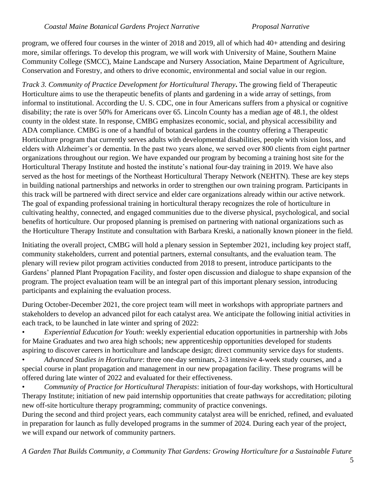program, we offered four courses in the winter of 2018 and 2019, all of which had 40+ attending and desiring more, similar offerings. To develop this program, we will work with University of Maine, Southern Maine Community College (SMCC), Maine Landscape and Nursery Association, Maine Department of Agriculture, Conservation and Forestry, and others to drive economic, environmental and social value in our region.

*Track 3. Community of Practice Development for Horticultural Therapy***.** The growing field of Therapeutic Horticulture aims to use the therapeutic benefits of plants and gardening in a wide array of settings, from informal to institutional. According the U. S. CDC, one in four Americans suffers from a physical or cognitive disability; the rate is over 50% for Americans over 65. Lincoln County has a median age of 48.1, the oldest county in the oldest state. In response, CMBG emphasizes economic, social, and physical accessibility and ADA compliance. CMBG is one of a handful of botanical gardens in the country offering a Therapeutic Horticulture program that currently serves adults with developmental disabilities, people with vision loss, and elders with Alzheimer's or dementia. In the past two years alone, we served over 800 clients from eight partner organizations throughout our region. We have expanded our program by becoming a training host site for the Horticultural Therapy Institute and hosted the institute's national four-day training in 2019. We have also served as the host for meetings of the Northeast Horticultural Therapy Network (NEHTN). These are key steps in building national partnerships and networks in order to strengthen our own training program. Participants in this track will be partnered with direct service and elder care organizations already within our active network. The goal of expanding professional training in horticultural therapy recognizes the role of horticulture in cultivating healthy, connected, and engaged communities due to the diverse physical, psychological, and social benefits of horticulture. Our proposed planning is premised on partnering with national organizations such as the Horticulture Therapy Institute and consultation with Barbara Kreski, a nationally known pioneer in the field.

Initiating the overall project, CMBG will hold a plenary session in September 2021, including key project staff, community stakeholders, current and potential partners, external consultants, and the evaluation team. The plenary will review pilot program activities conducted from 2018 to present, introduce participants to the Gardens' planned Plant Propagation Facility, and foster open discussion and dialogue to shape expansion of the program. The project evaluation team will be an integral part of this important plenary session, introducing participants and explaining the evaluation process.

During October-December 2021, the core project team will meet in workshops with appropriate partners and stakeholders to develop an advanced pilot for each catalyst area. We anticipate the following initial activities in each track, to be launched in late winter and spring of 2022:

• *Experiential Education for Youth*: weekly experiential education opportunities in partnership with Jobs for Maine Graduates and two area high schools; new apprenticeship opportunities developed for students aspiring to discover careers in horticulture and landscape design; direct community service days for students.

• *Advanced Studies in Horticulture*: three one-day seminars, 2-3 intensive 4-week study courses, and a special course in plant propagation and management in our new propagation facility. These programs will be offered during late winter of 2022 and evaluated for their effectiveness.

• *Community of Practice for Horticultural Therapists*: initiation of four-day workshops, with Horticultural Therapy Institute; initiation of new paid internship opportunities that create pathways for accreditation; piloting new off-site horticulture therapy programming; community of practice convenings.

During the second and third project years, each community catalyst area will be enriched, refined, and evaluated in preparation for launch as fully developed programs in the summer of 2024. During each year of the project, we will expand our network of community partners.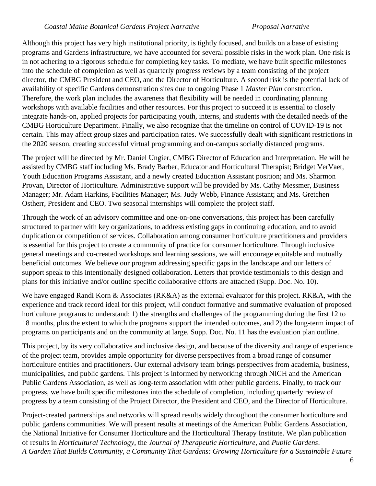#### *Coastal Maine Botanical Gardens Project Narrative Proposal Narrative*

Although this project has very high institutional priority, is tightly focused, and builds on a base of existing programs and Gardens infrastructure, we have accounted for several possible risks in the work plan. One risk is in not adhering to a rigorous schedule for completing key tasks. To mediate, we have built specific milestones into the schedule of completion as well as quarterly progress reviews by a team consisting of the project director, the CMBG President and CEO, and the Director of Horticulture. A second risk is the potential lack of availability of specific Gardens demonstration sites due to ongoing Phase 1 *Master Plan* construction. Therefore, the work plan includes the awareness that flexibility will be needed in coordinating planning workshops with available facilities and other resources. For this project to succeed it is essential to closely integrate hands-on, applied projects for participating youth, interns, and students with the detailed needs of the CMBG Horticulture Department. Finally, we also recognize that the timeline on control of COVID-19 is not certain. This may affect group sizes and participation rates. We successfully dealt with significant restrictions in the 2020 season, creating successful virtual programming and on-campus socially distanced programs.

The project will be directed by Mr. Daniel Ungier, CMBG Director of Education and Interpretation. He will be assisted by CMBG staff including Ms. Brady Barber, Educator and Horticultural Therapist; Bridget VerVaet, Youth Education Programs Assistant, and a newly created Education Assistant position; and Ms. Sharmon Provan, Director of Horticulture. Administrative support will be provided by Ms. Cathy Messmer, Business Manager; Mr. Adam Harkins, Facilities Manager; Ms. Judy Webb, Finance Assistant; and Ms. Gretchen Ostherr, President and CEO. Two seasonal internships will complete the project staff.

Through the work of an advisory committee and one-on-one conversations, this project has been carefully structured to partner with key organizations, to address existing gaps in continuing education, and to avoid duplication or competition of services. Collaboration among consumer horticulture practitioners and providers is essential for this project to create a community of practice for consumer horticulture. Through inclusive general meetings and co-created workshops and learning sessions, we will encourage equitable and mutually beneficial outcomes. We believe our program addressing specific gaps in the landscape and our letters of support speak to this intentionally designed collaboration. Letters that provide testimonials to this design and plans for this initiative and/or outline specific collaborative efforts are attached (Supp. Doc. No. 10).

We have engaged Randi Korn & Associates (RK&A) as the external evaluator for this project. RK&A, with the experience and track record ideal for this project, will conduct formative and summative evaluation of proposed horticulture programs to understand: 1) the strengths and challenges of the programming during the first 12 to 18 months, plus the extent to which the programs support the intended outcomes, and 2) the long-term impact of programs on participants and on the community at large. Supp. Doc. No. 11 has the evaluation plan outline.

This project, by its very collaborative and inclusive design, and because of the diversity and range of experience of the project team, provides ample opportunity for diverse perspectives from a broad range of consumer horticulture entities and practitioners. Our external advisory team brings perspectives from academia, business, municipalities, and public gardens. This project is informed by networking through NICH and the American Public Gardens Association, as well as long-term association with other public gardens. Finally, to track our progress, we have built specific milestones into the schedule of completion, including quarterly review of progress by a team consisting of the Project Director, the President and CEO, and the Director of Horticulture.

*A Garden That Builds Community, a Community That Gardens: Growing Horticulture for a Sustainable Future* Project-created partnerships and networks will spread results widely throughout the consumer horticulture and public gardens communities. We will present results at meetings of the American Public Gardens Association, the National Initiative for Consumer Horticulture and the Horticultural Therapy Institute. We plan publication of results in *Horticultural Technology*, the *Journal of Therapeutic Horticulture*, and *Public Gardens*.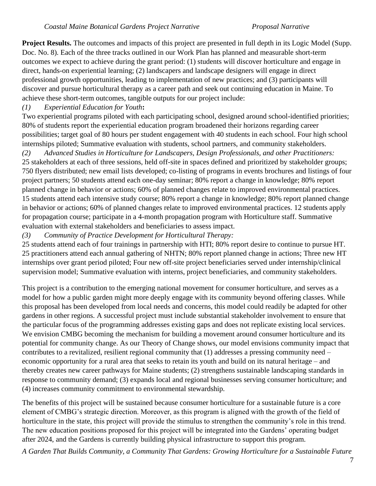**Project Results.** The outcomes and impacts of this project are presented in full depth in its Logic Model (Supp. Doc. No. 8). Each of the three tracks outlined in our Work Plan has planned and measurable short-term outcomes we expect to achieve during the grant period: (1) students will discover horticulture and engage in direct, hands-on experiential learning; (2) landscapers and landscape designers will engage in direct professional growth opportunities, leading to implementation of new practices; and (3) participants will discover and pursue horticultural therapy as a career path and seek out continuing education in Maine. To achieve these short-term outcomes, tangible outputs for our project include:

### *(1) Experiential Education for Youth***:**

Two experiential programs piloted with each participating school, designed around school-identified priorities; 80% of students report the experiential education program broadened their horizons regarding career possibilities; target goal of 80 hours per student engagement with 40 students in each school. Four high school internships piloted; Summative evaluation with students, school partners, and community stakeholders.

*(2) Advanced Studies in Horticulture for Landscapers, Design Professionals, and other Practitioners:* 25 stakeholders at each of three sessions, held off-site in spaces defined and prioritized by stakeholder groups; 750 flyers distributed; new email lists developed; co-listing of programs in events brochures and listings of four project partners; 50 students attend each one-day seminar; 80% report a change in knowledge; 80% report planned change in behavior or actions; 60% of planned changes relate to improved environmental practices. 15 students attend each intensive study course; 80% report a change in knowledge; 80% report planned change in behavior or actions; 60% of planned changes relate to improved environmental practices. 12 students apply for propagation course; participate in a 4-month propagation program with Horticulture staff. Summative evaluation with external stakeholders and beneficiaries to assess impact.

### *(3) Community of Practice Development for Horticultural Therapy:*

25 students attend each of four trainings in partnership with HTI; 80% report desire to continue to pursue HT. 25 practitioners attend each annual gathering of NHTN; 80% report planned change in actions; Three new HT internships over grant period piloted; Four new off-site project beneficiaries served under internship/clinical supervision model; Summative evaluation with interns, project beneficiaries, and community stakeholders.

This project is a contribution to the emerging national movement for consumer horticulture, and serves as a model for how a public garden might more deeply engage with its community beyond offering classes. While this proposal has been developed from local needs and concerns, this model could readily be adapted for other gardens in other regions. A successful project must include substantial stakeholder involvement to ensure that the particular focus of the programming addresses existing gaps and does not replicate existing local services. We envision CMBG becoming the mechanism for building a movement around consumer horticulture and its potential for community change. As our Theory of Change shows, our model envisions community impact that contributes to a revitalized, resilient regional community that (1) addresses a pressing community need – economic opportunity for a rural area that seeks to retain its youth and build on its natural heritage – and thereby creates new career pathways for Maine students; (2) strengthens sustainable landscaping standards in response to community demand; (3) expands local and regional businesses serving consumer horticulture; and (4) increases community commitment to environmental stewardship.

The benefits of this project will be sustained because consumer horticulture for a sustainable future is a core element of CMBG's strategic direction. Moreover, as this program is aligned with the growth of the field of horticulture in the state, this project will provide the stimulus to strengthen the community's role in this trend. The new education positions proposed for this project will be integrated into the Gardens' operating budget after 2024, and the Gardens is currently building physical infrastructure to support this program.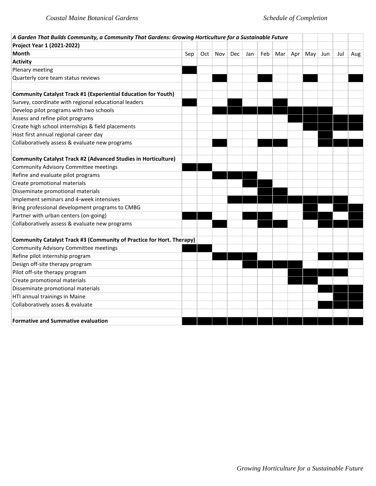| A Garden That Builds Community, a Community That Gardens: Growing Horticulture for a Sustainable Future |     |     |     |     |     |     |     |     |     |     |     |     |
|---------------------------------------------------------------------------------------------------------|-----|-----|-----|-----|-----|-----|-----|-----|-----|-----|-----|-----|
| Project Year 1 (2021-2022)                                                                              |     |     |     |     |     |     |     |     |     |     |     |     |
| Month                                                                                                   | Sep | Oct | Nov | Dec | Jan | Feb | Mar | Apr | May | Jun | Jul | Aug |
| <b>Activity</b>                                                                                         |     |     |     |     |     |     |     |     |     |     |     |     |
| Plenary meeting                                                                                         |     |     |     |     |     |     |     |     |     |     |     |     |
| Quarterly core team status reviews                                                                      |     |     |     |     |     |     |     |     |     |     |     |     |
|                                                                                                         |     |     |     |     |     |     |     |     |     |     |     |     |
| <b>Community Catalyst Track #1 (Experiential Education for Youth)</b>                                   |     |     |     |     |     |     |     |     |     |     |     |     |
| Survey, coordinate with regional educational leaders                                                    |     |     |     |     |     |     |     |     |     |     |     |     |
| Develop pilot programs with two schools                                                                 |     |     |     |     |     |     |     |     |     |     |     |     |
| Assess and refine pilot programs                                                                        |     |     |     |     |     |     |     |     |     |     |     |     |
| Create high school internships & field placements                                                       |     |     |     |     |     |     |     |     |     |     |     |     |
| Host first annual regional career day                                                                   |     |     |     |     |     |     |     |     |     |     |     |     |
| Collaboratively assess & evaluate new programs                                                          |     |     |     |     |     |     |     |     |     |     |     |     |
|                                                                                                         |     |     |     |     |     |     |     |     |     |     |     |     |
| <b>Community Catalyst Track #2 (Advanced Studies in Horticulture)</b>                                   |     |     |     |     |     |     |     |     |     |     |     |     |
| <b>Community Advisory Committee meetings</b>                                                            |     |     |     |     |     |     |     |     |     |     |     |     |
| Refine and evaluate pilot programs                                                                      |     |     |     |     |     |     |     |     |     |     |     |     |
| Create promotional materials                                                                            |     |     |     |     |     |     |     |     |     |     |     |     |
| Disseminate promotional materials                                                                       |     |     |     |     |     |     |     |     |     |     |     |     |
| Implement seminars and 4-week intensives                                                                |     |     |     |     |     |     |     |     |     |     |     |     |
| Bring professional development programs to CMBG                                                         |     |     |     |     |     |     |     |     |     |     |     |     |
| Partner with urban centers (on-going)                                                                   |     |     |     |     |     |     |     |     |     |     |     |     |
| Collaboratively assess & evaluate new programs                                                          |     |     |     |     |     |     |     |     |     |     |     |     |
|                                                                                                         |     |     |     |     |     |     |     |     |     |     |     |     |
| Community Catalyst Track #3 (Community of Practice for Hort. Therapy)                                   |     |     |     |     |     |     |     |     |     |     |     |     |
| <b>Community Advisory Committee meetings</b>                                                            |     |     |     |     |     |     |     |     |     |     |     |     |
| Refine pilot internship program                                                                         |     |     |     |     |     |     |     |     |     |     |     |     |
| Design off-site therapy program                                                                         |     |     |     |     |     |     |     |     |     |     |     |     |
| Pilot off-site therapy program                                                                          |     |     |     |     |     |     |     |     |     |     |     |     |
| Create promotional materials                                                                            |     |     |     |     |     |     |     |     |     |     |     |     |
| Disseminate promotional materials                                                                       |     |     |     |     |     |     |     |     |     |     |     |     |
| HTI annual trainings in Maine                                                                           |     |     |     |     |     |     |     |     |     |     |     |     |
| Collaboratively asses & evaluate                                                                        |     |     |     |     |     |     |     |     |     |     |     |     |
|                                                                                                         |     |     |     |     |     |     |     |     |     |     |     |     |
| <b>Formative and Summative evaluation</b>                                                               |     |     |     |     |     |     |     |     |     |     |     |     |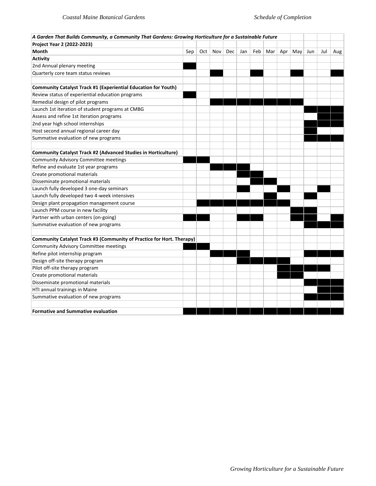| A Garden That Builds Community, a Community That Gardens: Growing Horticulture for a Sustainable Future |     |     |     |     |     |     |     |     |     |     |     |     |
|---------------------------------------------------------------------------------------------------------|-----|-----|-----|-----|-----|-----|-----|-----|-----|-----|-----|-----|
| Project Year 2 (2022-2023)                                                                              |     |     |     |     |     |     |     |     |     |     |     |     |
| Month                                                                                                   | Sep | Oct | Nov | Dec | Jan | Feb | Mar | Apr | May | Jun | Jul | Aug |
| <b>Activity</b>                                                                                         |     |     |     |     |     |     |     |     |     |     |     |     |
| 2nd Annual plenary meeting                                                                              |     |     |     |     |     |     |     |     |     |     |     |     |
| Quarterly core team status reviews                                                                      |     |     |     |     |     |     |     |     |     |     |     |     |
|                                                                                                         |     |     |     |     |     |     |     |     |     |     |     |     |
| Community Catalyst Track #1 (Experiential Education for Youth)                                          |     |     |     |     |     |     |     |     |     |     |     |     |
| Review status of experiential education programs                                                        |     |     |     |     |     |     |     |     |     |     |     |     |
| Remedial design of pilot programs                                                                       |     |     |     |     |     |     |     |     |     |     |     |     |
| Launch 1st iteration of student programs at CMBG                                                        |     |     |     |     |     |     |     |     |     |     |     |     |
| Assess and refine 1st iteration programs                                                                |     |     |     |     |     |     |     |     |     |     |     |     |
| 2nd year high school internships                                                                        |     |     |     |     |     |     |     |     |     |     |     |     |
| Host second annual regional career day                                                                  |     |     |     |     |     |     |     |     |     |     |     |     |
| Summative evaluation of new programs                                                                    |     |     |     |     |     |     |     |     |     |     |     |     |
|                                                                                                         |     |     |     |     |     |     |     |     |     |     |     |     |
| Community Catalyst Track #2 (Advanced Studies in Horticulture)                                          |     |     |     |     |     |     |     |     |     |     |     |     |
| Community Advisory Committee meetings                                                                   |     |     |     |     |     |     |     |     |     |     |     |     |
| Refine and evaluate 1st year programs                                                                   |     |     |     |     |     |     |     |     |     |     |     |     |
| Create promotional materials                                                                            |     |     |     |     |     |     |     |     |     |     |     |     |
| Disseminate promotional materials                                                                       |     |     |     |     |     |     |     |     |     |     |     |     |
| Launch fully developed 3 one-day seminars                                                               |     |     |     |     |     |     |     |     |     |     |     |     |
| Launch fully developed two 4-week intensives                                                            |     |     |     |     |     |     |     |     |     |     |     |     |
| Design plant propagation management course                                                              |     |     |     |     |     |     |     |     |     |     |     |     |
| Launch PPM course in new facility                                                                       |     |     |     |     |     |     |     |     |     |     |     |     |
| Partner with urban centers (on-going)                                                                   |     |     |     |     |     |     |     |     |     |     |     |     |
| Summative evaluation of new programs                                                                    |     |     |     |     |     |     |     |     |     |     |     |     |
|                                                                                                         |     |     |     |     |     |     |     |     |     |     |     |     |
| Community Catalyst Track #3 (Community of Practice for Hort. Therapy)                                   |     |     |     |     |     |     |     |     |     |     |     |     |
| Community Advisory Committee meetings                                                                   |     |     |     |     |     |     |     |     |     |     |     |     |
| Refine pilot internship program                                                                         |     |     |     |     |     |     |     |     |     |     |     |     |
| Design off-site therapy program                                                                         |     |     |     |     |     |     |     |     |     |     |     |     |
| Pilot off-site therapy program                                                                          |     |     |     |     |     |     |     |     |     |     |     |     |
| Create promotional materials                                                                            |     |     |     |     |     |     |     |     |     |     |     |     |
| Disseminate promotional materials                                                                       |     |     |     |     |     |     |     |     |     |     |     |     |
| HTI annual trainings in Maine                                                                           |     |     |     |     |     |     |     |     |     |     |     |     |
| Summative evaluation of new programs                                                                    |     |     |     |     |     |     |     |     |     |     |     |     |
|                                                                                                         |     |     |     |     |     |     |     |     |     |     |     |     |
| <b>Formative and Summative evaluation</b>                                                               |     |     |     |     |     |     |     |     |     |     |     |     |